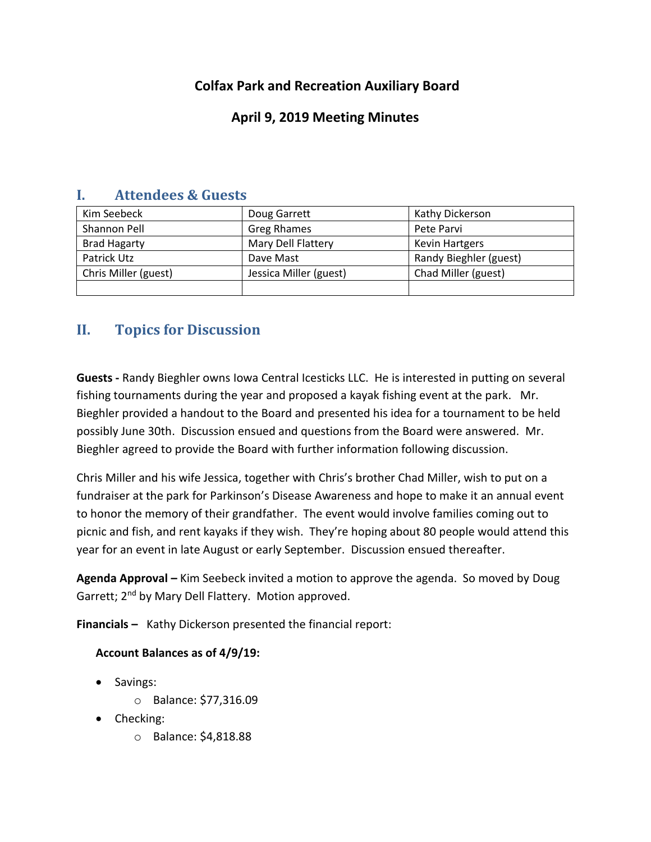# **Colfax Park and Recreation Auxiliary Board**

## **April 9, 2019 Meeting Minutes**

| Kim Seebeck          | Doug Garrett           | Kathy Dickerson        |
|----------------------|------------------------|------------------------|
| Shannon Pell         | <b>Greg Rhames</b>     | Pete Parvi             |
| <b>Brad Hagarty</b>  | Mary Dell Flattery     | <b>Kevin Hartgers</b>  |
| Patrick Utz          | Dave Mast              | Randy Bieghler (guest) |
| Chris Miller (guest) | Jessica Miller (guest) | Chad Miller (guest)    |
|                      |                        |                        |

### **I. Attendees & Guests**

# **II. Topics for Discussion**

**Guests -** Randy Bieghler owns Iowa Central Icesticks LLC. He is interested in putting on several fishing tournaments during the year and proposed a kayak fishing event at the park. Mr. Bieghler provided a handout to the Board and presented his idea for a tournament to be held possibly June 30th. Discussion ensued and questions from the Board were answered. Mr. Bieghler agreed to provide the Board with further information following discussion.

Chris Miller and his wife Jessica, together with Chris's brother Chad Miller, wish to put on a fundraiser at the park for Parkinson's Disease Awareness and hope to make it an annual event to honor the memory of their grandfather. The event would involve families coming out to picnic and fish, and rent kayaks if they wish. They're hoping about 80 people would attend this year for an event in late August or early September. Discussion ensued thereafter.

**Agenda Approval –** Kim Seebeck invited a motion to approve the agenda. So moved by Doug Garrett; 2<sup>nd</sup> by Mary Dell Flattery. Motion approved.

**Financials –** Kathy Dickerson presented the financial report:

### **Account Balances as of 4/9/19:**

- Savings:
	- o Balance: \$77,316.09
- Checking:
	- o Balance: \$4,818.88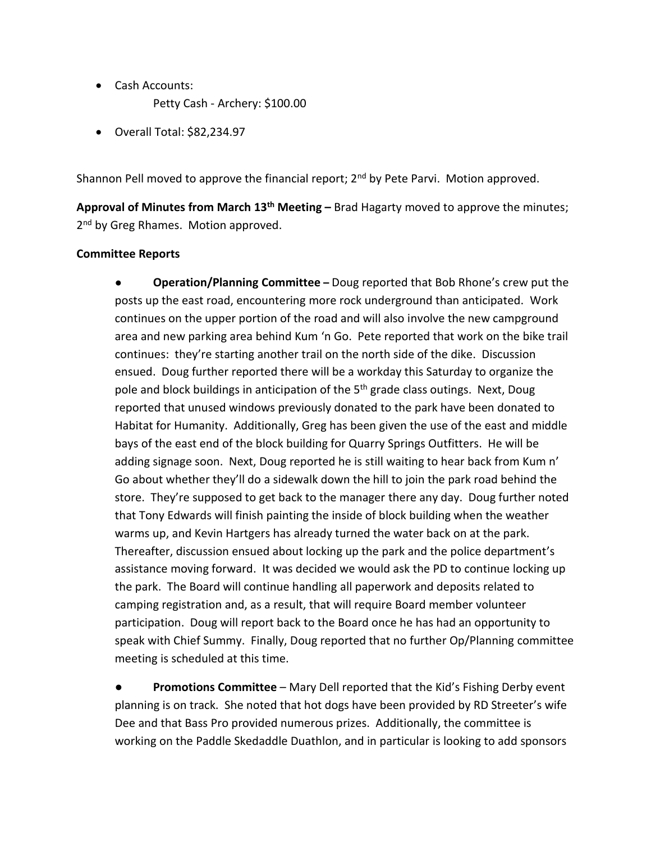- Cash Accounts:
	- Petty Cash Archery: \$100.00
- Overall Total: \$82,234.97

Shannon Pell moved to approve the financial report;  $2<sup>nd</sup>$  by Pete Parvi. Motion approved.

**Approval of Minutes from March 13th Meeting –** Brad Hagarty moved to approve the minutes; 2<sup>nd</sup> by Greg Rhames. Motion approved.

### **Committee Reports**

● **Operation/Planning Committee –** Doug reported that Bob Rhone's crew put the posts up the east road, encountering more rock underground than anticipated. Work continues on the upper portion of the road and will also involve the new campground area and new parking area behind Kum 'n Go. Pete reported that work on the bike trail continues: they're starting another trail on the north side of the dike. Discussion ensued. Doug further reported there will be a workday this Saturday to organize the pole and block buildings in anticipation of the 5<sup>th</sup> grade class outings. Next, Doug reported that unused windows previously donated to the park have been donated to Habitat for Humanity. Additionally, Greg has been given the use of the east and middle bays of the east end of the block building for Quarry Springs Outfitters. He will be adding signage soon. Next, Doug reported he is still waiting to hear back from Kum n' Go about whether they'll do a sidewalk down the hill to join the park road behind the store. They're supposed to get back to the manager there any day. Doug further noted that Tony Edwards will finish painting the inside of block building when the weather warms up, and Kevin Hartgers has already turned the water back on at the park. Thereafter, discussion ensued about locking up the park and the police department's assistance moving forward. It was decided we would ask the PD to continue locking up the park. The Board will continue handling all paperwork and deposits related to camping registration and, as a result, that will require Board member volunteer participation. Doug will report back to the Board once he has had an opportunity to speak with Chief Summy. Finally, Doug reported that no further Op/Planning committee meeting is scheduled at this time.

● **Promotions Committee** – Mary Dell reported that the Kid's Fishing Derby event planning is on track. She noted that hot dogs have been provided by RD Streeter's wife Dee and that Bass Pro provided numerous prizes. Additionally, the committee is working on the Paddle Skedaddle Duathlon, and in particular is looking to add sponsors